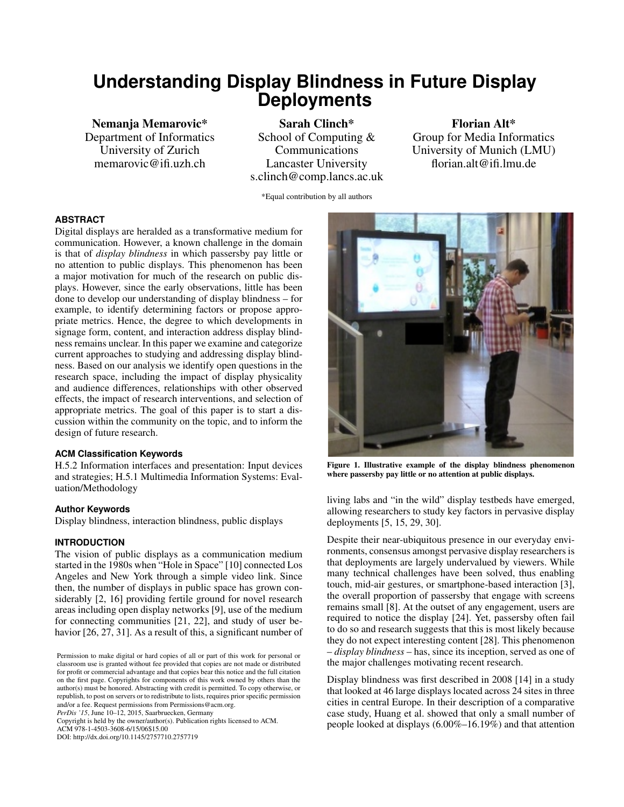# **Understanding Display Blindness in Future Display Deployments**

Nemanja Memarovic\* Department of Informatics University of Zurich memarovic@ifi.uzh.ch

Sarah Clinch\* School of Computing & Communications Lancaster University s.clinch@comp.lancs.ac.uk

Florian Alt\* Group for Media Informatics University of Munich (LMU) florian.alt@ifi.lmu.de

\*Equal contribution by all authors

#### **ABSTRACT**

Digital displays are heralded as a transformative medium for communication. However, a known challenge in the domain is that of *display blindness* in which passersby pay little or no attention to public displays. This phenomenon has been a major motivation for much of the research on public displays. However, since the early observations, little has been done to develop our understanding of display blindness – for example, to identify determining factors or propose appropriate metrics. Hence, the degree to which developments in signage form, content, and interaction address display blindness remains unclear. In this paper we examine and categorize current approaches to studying and addressing display blindness. Based on our analysis we identify open questions in the research space, including the impact of display physicality and audience differences, relationships with other observed effects, the impact of research interventions, and selection of appropriate metrics. The goal of this paper is to start a discussion within the community on the topic, and to inform the design of future research.

#### **ACM Classification Keywords**

H.5.2 Information interfaces and presentation: Input devices and strategies; H.5.1 Multimedia Information Systems: Evaluation/Methodology

# **Author Keywords**

Display blindness, interaction blindness, public displays

## **INTRODUCTION**

The vision of public displays as a communication medium started in the 1980s when "Hole in Space" [\[10\]](#page-6-0) connected Los Angeles and New York through a simple video link. Since then, the number of displays in public space has grown considerably [\[2,](#page-5-0) [16\]](#page-6-1) providing fertile ground for novel research areas including open display networks [\[9\]](#page-6-2), use of the medium for connecting communities [\[21,](#page-6-3) [22\]](#page-6-4), and study of user behavior [\[26,](#page-6-5) [27,](#page-6-6) [31\]](#page-7-0). As a result of this, a significant number of

*PerDis '15*, June 10–12, 2015, Saarbruecken, Germany

Copyright is held by the owner/author(s). Publication rights licensed to ACM. ACM 978-1-4503-3608-6/15/06\$15.00

DOI: http://dx.doi.org/10.1145/2757710.2757719



Figure 1. Illustrative example of the display blindness phenomenon where passersby pay little or no attention at public displays.

living labs and "in the wild" display testbeds have emerged, allowing researchers to study key factors in pervasive display deployments [\[5,](#page-6-7) [15,](#page-6-8) [29,](#page-6-9) [30\]](#page-6-10).

Despite their near-ubiquitous presence in our everyday environments, consensus amongst pervasive display researchers is that deployments are largely undervalued by viewers. While many technical challenges have been solved, thus enabling touch, mid-air gestures, or smartphone-based interaction [\[3\]](#page-5-1), the overall proportion of passersby that engage with screens remains small [\[8\]](#page-6-11). At the outset of any engagement, users are required to notice the display [\[24\]](#page-6-12). Yet, passersby often fail to do so and research suggests that this is most likely because they do not expect interesting content [\[28\]](#page-6-13). This phenomenon – *display blindness* – has, since its inception, served as one of the major challenges motivating recent research.

Display blindness was first described in 2008 [\[14\]](#page-6-14) in a study that looked at 46 large displays located across 24 sites in three cities in central Europe. In their description of a comparative case study, Huang et al. showed that only a small number of people looked at displays (6.00%–16.19%) and that attention

Permission to make digital or hard copies of all or part of this work for personal or classroom use is granted without fee provided that copies are not made or distributed for profit or commercial advantage and that copies bear this notice and the full citation on the first page. Copyrights for components of this work owned by others than the author(s) must be honored. Abstracting with credit is permitted. To copy otherwise, or republish, to post on servers or to redistribute to lists, requires prior specific permission and/or a fee. Request permissions from Permissions@acm.org.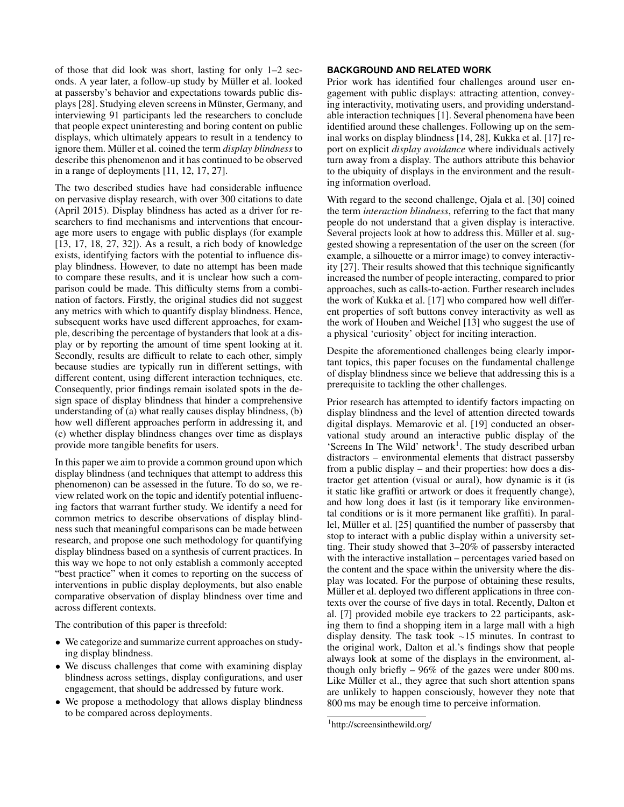of those that did look was short, lasting for only 1–2 seconds. A year later, a follow-up study by Müller et al. looked at passersby's behavior and expectations towards public dis-plays [\[28\]](#page-6-13). Studying eleven screens in Münster, Germany, and interviewing 91 participants led the researchers to conclude that people expect uninteresting and boring content on public displays, which ultimately appears to result in a tendency to ignore them. Müller et al. coined the term *display blindness* to describe this phenomenon and it has continued to be observed in a range of deployments [\[11,](#page-6-15) [12,](#page-6-16) [17,](#page-6-17) [27\]](#page-6-6).

The two described studies have had considerable influence on pervasive display research, with over 300 citations to date (April 2015). Display blindness has acted as a driver for researchers to find mechanisms and interventions that encourage more users to engage with public displays (for example [\[13,](#page-6-18) [17,](#page-6-17) [18,](#page-6-19) [27,](#page-6-6) [32\]](#page-7-1)). As a result, a rich body of knowledge exists, identifying factors with the potential to influence display blindness. However, to date no attempt has been made to compare these results, and it is unclear how such a comparison could be made. This difficulty stems from a combination of factors. Firstly, the original studies did not suggest any metrics with which to quantify display blindness. Hence, subsequent works have used different approaches, for example, describing the percentage of bystanders that look at a display or by reporting the amount of time spent looking at it. Secondly, results are difficult to relate to each other, simply because studies are typically run in different settings, with different content, using different interaction techniques, etc. Consequently, prior findings remain isolated spots in the design space of display blindness that hinder a comprehensive understanding of (a) what really causes display blindness, (b) how well different approaches perform in addressing it, and (c) whether display blindness changes over time as displays provide more tangible benefits for users.

In this paper we aim to provide a common ground upon which display blindness (and techniques that attempt to address this phenomenon) can be assessed in the future. To do so, we review related work on the topic and identify potential influencing factors that warrant further study. We identify a need for common metrics to describe observations of display blindness such that meaningful comparisons can be made between research, and propose one such methodology for quantifying display blindness based on a synthesis of current practices. In this way we hope to not only establish a commonly accepted "best practice" when it comes to reporting on the success of interventions in public display deployments, but also enable comparative observation of display blindness over time and across different contexts.

The contribution of this paper is threefold:

- *•* We categorize and summarize current approaches on studying display blindness.
- *•* We discuss challenges that come with examining display blindness across settings, display configurations, and user engagement, that should be addressed by future work.
- We propose a methodology that allows display blindness to be compared across deployments.

### **BACKGROUND AND RELATED WORK**

Prior work has identified four challenges around user engagement with public displays: attracting attention, conveying interactivity, motivating users, and providing understandable interaction techniques [\[1\]](#page-5-2). Several phenomena have been identified around these challenges. Following up on the seminal works on display blindness [\[14,](#page-6-14) [28\]](#page-6-13), Kukka et al. [\[17\]](#page-6-17) report on explicit *display avoidance* where individuals actively turn away from a display. The authors attribute this behavior to the ubiquity of displays in the environment and the resulting information overload.

With regard to the second challenge, Ojala et al. [\[30\]](#page-6-10) coined the term *interaction blindness*, referring to the fact that many people do not understand that a given display is interactive. Several projects look at how to address this. Müller et al. suggested showing a representation of the user on the screen (for example, a silhouette or a mirror image) to convey interactivity [\[27\]](#page-6-6). Their results showed that this technique significantly increased the number of people interacting, compared to prior approaches, such as calls-to-action. Further research includes the work of Kukka et al. [\[17\]](#page-6-17) who compared how well different properties of soft buttons convey interactivity as well as the work of Houben and Weichel [\[13\]](#page-6-18) who suggest the use of a physical 'curiosity' object for inciting interaction.

Despite the aforementioned challenges being clearly important topics, this paper focuses on the fundamental challenge of display blindness since we believe that addressing this is a prerequisite to tackling the other challenges.

Prior research has attempted to identify factors impacting on display blindness and the level of attention directed towards digital displays. Memarovic et al. [\[19\]](#page-6-20) conducted an observational study around an interactive public display of the 'Screens In The Wild' network<sup>1</sup>. The study described urban distractors – environmental elements that distract passersby from a public display – and their properties: how does a distractor get attention (visual or aural), how dynamic is it (is it static like graffiti or artwork or does it frequently change), and how long does it last (is it temporary like environmental conditions or is it more permanent like graffiti). In paral-lel, Müller et al. [[25\]](#page-6-21) quantified the number of passersby that stop to interact with a public display within a university setting. Their study showed that 3–20% of passersby interacted with the interactive installation – percentages varied based on the content and the space within the university where the display was located. For the purpose of obtaining these results, Müller et al. deployed two different applications in three contexts over the course of five days in total. Recently, Dalton et al. [\[7\]](#page-6-22) provided mobile eye trackers to 22 participants, asking them to find a shopping item in a large mall with a high display density. The task took  $\sim$ 15 minutes. In contrast to the original work, Dalton et al.'s findings show that people always look at some of the displays in the environment, although only briefly – 96% of the gazes were under 800 ms. Like Müller et al., they agree that such short attention spans are unlikely to happen consciously, however they note that 800 ms may be enough time to perceive information.

<span id="page-1-0"></span><sup>1</sup> http://screensinthewild.org/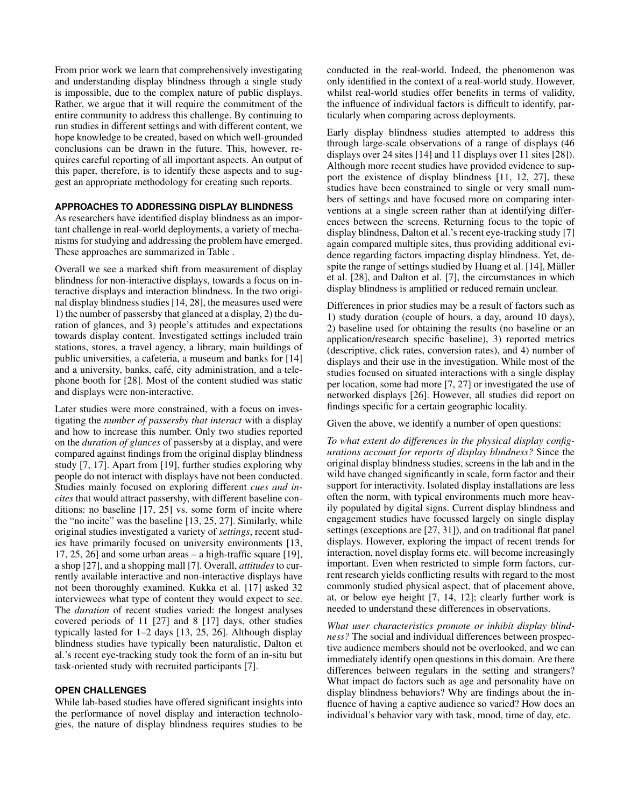From prior work we learn that comprehensively investigating and understanding display blindness through a single study is impossible, due to the complex nature of public displays. Rather, we argue that it will require the commitment of the entire community to address this challenge. By continuing to run studies in different settings and with different content, we hope knowledge to be created, based on which well-grounded conclusions can be drawn in the future. This, however, requires careful reporting of all important aspects. An output of this paper, therefore, is to identify these aspects and to suggest an appropriate methodology for creating such reports.

#### **APPROACHES TO ADDRESSING DISPLAY BLINDNESS**

As researchers have identified display blindness as an important challenge in real-world deployments, a variety of mechanisms for studying and addressing the problem have emerged. These approaches are summarized in Table .

Overall we see a marked shift from measurement of display blindness for non-interactive displays, towards a focus on interactive displays and interaction blindness. In the two original display blindness studies [\[14,](#page-6-14) [28\]](#page-6-13), the measures used were 1) the number of passersby that glanced at a display, 2) the duration of glances, and 3) people's attitudes and expectations towards display content. Investigated settings included train stations, stores, a travel agency, a library, main buildings of public universities, a cafeteria, a museum and banks for [\[14\]](#page-6-14) and a university, banks, café, city administration, and a telephone booth for [\[28\]](#page-6-13). Most of the content studied was static and displays were non-interactive.

Later studies were more constrained, with a focus on investigating the *number of passersby that interact* with a display and how to increase this number. Only two studies reported on the *duration of glances* of passersby at a display, and were compared against findings from the original display blindness study [\[7,](#page-6-22) [17\]](#page-6-17). Apart from [\[19\]](#page-6-20), further studies exploring why people do not interact with displays have not been conducted. Studies mainly focused on exploring different *cues and incites* that would attract passersby, with different baseline conditions: no baseline [\[17,](#page-6-17) [25\]](#page-6-21) vs. some form of incite where the "no incite" was the baseline [\[13,](#page-6-18) [25,](#page-6-21) [27\]](#page-6-6). Similarly, while original studies investigated a variety of *settings*, recent studies have primarily focused on university environments [\[13,](#page-6-18) [17,](#page-6-17) [25,](#page-6-21) [26\]](#page-6-5) and some urban areas – a high-traffic square [\[19\]](#page-6-20), a shop [\[27\]](#page-6-6), and a shopping mall [\[7\]](#page-6-22). Overall, *attitudes* to currently available interactive and non-interactive displays have not been thoroughly examined. Kukka et al. [\[17\]](#page-6-17) asked 32 interviewees what type of content they would expect to see. The *duration* of recent studies varied: the longest analyses covered periods of 11 [\[27\]](#page-6-6) and 8 [\[17\]](#page-6-17) days, other studies typically lasted for 1–2 days [\[13,](#page-6-18) [25,](#page-6-21) [26\]](#page-6-5). Although display blindness studies have typically been naturalistic, Dalton et al.'s recent eye-tracking study took the form of an in-situ but task-oriented study with recruited participants [\[7\]](#page-6-22).

#### **OPEN CHALLENGES**

While lab-based studies have offered significant insights into the performance of novel display and interaction technologies, the nature of display blindness requires studies to be conducted in the real-world. Indeed, the phenomenon was only identified in the context of a real-world study. However, whilst real-world studies offer benefits in terms of validity, the influence of individual factors is difficult to identify, particularly when comparing across deployments.

Early display blindness studies attempted to address this through large-scale observations of a range of displays (46 displays over 24 sites [\[14\]](#page-6-14) and 11 displays over 11 sites [\[28\]](#page-6-13)). Although more recent studies have provided evidence to support the existence of display blindness [\[11,](#page-6-15) [12,](#page-6-16) [27\]](#page-6-6), these studies have been constrained to single or very small numbers of settings and have focused more on comparing interventions at a single screen rather than at identifying differences between the screens. Returning focus to the topic of display blindness, Dalton et al.'s recent eye-tracking study [\[7\]](#page-6-22) again compared multiple sites, thus providing additional evidence regarding factors impacting display blindness. Yet, de-spite the range of settings studied by Huang et al. [\[14\]](#page-6-14), Müller et al. [\[28\]](#page-6-13), and Dalton et al. [\[7\]](#page-6-22), the circumstances in which display blindness is amplified or reduced remain unclear.

Differences in prior studies may be a result of factors such as 1) study duration (couple of hours, a day, around 10 days), 2) baseline used for obtaining the results (no baseline or an application/research specific baseline), 3) reported metrics (descriptive, click rates, conversion rates), and 4) number of displays and their use in the investigation. While most of the studies focused on situated interactions with a single display per location, some had more [\[7,](#page-6-22) [27\]](#page-6-6) or investigated the use of networked displays [\[26\]](#page-6-5). However, all studies did report on findings specific for a certain geographic locality.

Given the above, we identify a number of open questions:

*To what extent do differences in the physical display configurations account for reports of display blindness?* Since the original display blindness studies, screens in the lab and in the wild have changed significantly in scale, form factor and their support for interactivity. Isolated display installations are less often the norm, with typical environments much more heavily populated by digital signs. Current display blindness and engagement studies have focussed largely on single display settings (exceptions are [\[27,](#page-6-6) [31\]](#page-7-0)), and on traditional flat panel displays. However, exploring the impact of recent trends for interaction, novel display forms etc. will become increasingly important. Even when restricted to simple form factors, current research yields conflicting results with regard to the most commonly studied physical aspect, that of placement above, at, or below eye height [\[7,](#page-6-22) [14,](#page-6-14) [12\]](#page-6-16); clearly further work is needed to understand these differences in observations.

*What user characteristics promote or inhibit display blindness?* The social and individual differences between prospective audience members should not be overlooked, and we can immediately identify open questions in this domain. Are there differences between regulars in the setting and strangers? What impact do factors such as age and personality have on display blindness behaviors? Why are findings about the influence of having a captive audience so varied? How does an individual's behavior vary with task, mood, time of day, etc.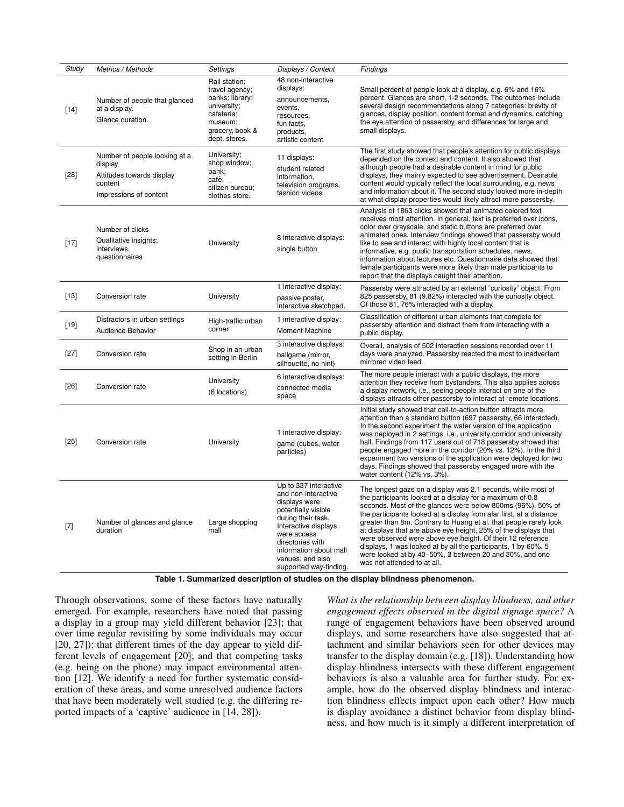| Study  | Metrics / Methods                                                                                          | Settings                                                                                                                       | Displays / Content                                                                                                                                                                                                                            | Findings                                                                                                                                                                                                                                                                                                                                                                                                                                                                                                                                                                                                                          |
|--------|------------------------------------------------------------------------------------------------------------|--------------------------------------------------------------------------------------------------------------------------------|-----------------------------------------------------------------------------------------------------------------------------------------------------------------------------------------------------------------------------------------------|-----------------------------------------------------------------------------------------------------------------------------------------------------------------------------------------------------------------------------------------------------------------------------------------------------------------------------------------------------------------------------------------------------------------------------------------------------------------------------------------------------------------------------------------------------------------------------------------------------------------------------------|
| $[14]$ | Number of people that glanced<br>at a display.<br>Glance duration.                                         | Rail station;<br>travel agency;<br>banks; library;<br>university;<br>cafeteria;<br>museum;<br>grocery, book &<br>dept. stores. | 48 non-interactive<br>displays:<br>announcements,<br>events,<br>resources,<br>fun facts.<br>products,<br>artistic content                                                                                                                     | Small percent of people look at a display, e.g. 6% and 16%<br>percent. Glances are short, 1-2 seconds. The outcomes include<br>several design recommendations along 7 categories: brevity of<br>glances, display position, content format and dynamics, catching<br>the eye attention of passersby, and differences for large and<br>small displays.                                                                                                                                                                                                                                                                              |
| $[28]$ | Number of people looking at a<br>display<br>Attitudes towards display<br>content<br>Impressions of content | University;<br>shop window;<br>bank;<br>café;<br>citizen bureau;<br>clothes store.                                             | 11 displays:<br>student related<br>information,<br>television programs,<br>fashion videos                                                                                                                                                     | The first study showed that people's attention for public displays<br>depended on the context and content. It also showed that<br>although people had a desirable content in mind for public<br>displays, they mainly expected to see advertisement. Desirable<br>content would typically reflect the local surrounding, e.g. news<br>and information about it. The second study looked more in-depth<br>at what display properties would likely attract more passersby.                                                                                                                                                          |
| $[17]$ | Number of clicks<br>Qualitative insights:<br>interviews.<br>questionnaires                                 | University                                                                                                                     | 8 interactive displays:<br>single button                                                                                                                                                                                                      | Analysis of 1863 clicks showed that animated colored text<br>receives most attention. In general, text is preferred over icons,<br>color over grayscale, and static buttons are preferred over<br>animated ones. Interview findings showed that passersby would<br>like to see and interact with highly local content that is<br>informative, e.g. public transportation schedules, news,<br>information about lectures etc. Questionnaire data showed that<br>female participants were more likely than male participants to<br>report that the displays caught their attention.                                                 |
| $[13]$ | Conversion rate                                                                                            | University                                                                                                                     | 1 interactive display:<br>passive poster,<br>interactive sketchpad.                                                                                                                                                                           | Passersby were attracted by an external "curiosity" object. From<br>825 passersby, 81 (9.82%) interacted with the curiosity object.<br>Of those 81, 76% interacted with a display.                                                                                                                                                                                                                                                                                                                                                                                                                                                |
| $[19]$ | Distractors in urban settings<br>Audience Behavior                                                         | High-traffic urban<br>corner                                                                                                   | 1 interactive display:<br><b>Moment Machine</b>                                                                                                                                                                                               | Classification of different urban elements that compete for<br>passersby attention and distract them from interacting with a<br>public display.                                                                                                                                                                                                                                                                                                                                                                                                                                                                                   |
| $[27]$ | Conversion rate                                                                                            | Shop in an urban<br>setting in Berlin                                                                                          | 3 interactive displays:<br>ballgame (mirror,<br>silhouette, no hint)                                                                                                                                                                          | Overall, analysis of 502 interaction sessions recorded over 11<br>days were analyzed. Passersby reacted the most to inadvertent<br>mirrored video feed.                                                                                                                                                                                                                                                                                                                                                                                                                                                                           |
| $[26]$ | Conversion rate                                                                                            | University<br>(6 locations)                                                                                                    | 6 interactive displays:<br>connected media<br>space                                                                                                                                                                                           | The more people interact with a public displays, the more<br>attention they receive from bystanders. This also applies across<br>a display network, i.e., seeing people interact on one of the<br>displays attracts other passersby to interact at remote locations.                                                                                                                                                                                                                                                                                                                                                              |
| $[25]$ | Conversion rate                                                                                            | University                                                                                                                     | 1 interactive display:<br>game (cubes, water<br>particles)                                                                                                                                                                                    | Initial study showed that call-to-action button attracts more<br>attention than a standard button (697 passersby, 66 interacted).<br>In the second experiment the water version of the application<br>was deployed in 2 settings, i.e., university corridor and university<br>hall. Findings from 117 users out of 718 passersby showed that<br>people engaged more in the corridor (20% vs. 12%). In the third<br>experiment two versions of the application were deployed for two<br>days. Findings showed that passersby engaged more with the<br>water content (12% vs. 3%).                                                  |
| $[7]$  | Number of glances and glance<br>duration                                                                   | Large shopping<br>mall                                                                                                         | Up to 337 interactive<br>and non-interactive<br>displays were<br>potentially visible<br>during their task.<br>Interactive displays<br>were access<br>directories with<br>information about mall<br>venues, and also<br>supported way-finding. | The longest gaze on a display was 2.1 seconds, while most of<br>the participants looked at a display for a maximum of 0.8<br>seconds. Most of the glances were below 800ms (96%). 50% of<br>the participants looked at a display from afar first, at a distance<br>greater than 8m. Contrary to Huang et al. that people rarely look<br>at displays that are above eye height, 25% of the displays that<br>were observed were above eye height. Of their 12 reference<br>displays, 1 was looked at by all the participants, 1 by 60%, 5<br>were looked at by 40-50%, 3 between 20 and 30%, and one<br>was not attended to at all. |

**Table 1. Summarized description of studies on the display blindness phenomenon.**

Through observations, some of these factors have naturally emerged. For example, researchers have noted that passing a display in a group may yield different behavior [\[23\]](#page-6-23); that over time regular revisiting by some individuals may occur [\[20,](#page-6-24) [27\]](#page-6-6)); that different times of the day appear to yield different levels of engagement [\[20\]](#page-6-24); and that competing tasks (e.g. being on the phone) may impact environmental attention [\[12\]](#page-6-16). We identify a need for further systematic consideration of these areas, and some unresolved audience factors that have been moderately well studied (e.g. the differing reported impacts of a 'captive' audience in [\[14,](#page-6-14) [28\]](#page-6-13)).

*What is the relationship between display blindness, and other engagement effects observed in the digital signage space?* A range of engagement behaviors have been observed around displays, and some researchers have also suggested that attachment and similar behaviors seen for other devices may transfer to the display domain (e.g. [\[18\]](#page-6-19)). Understanding how display blindness intersects with these different engagement behaviors is also a valuable area for further study. For example, how do the observed display blindness and interaction blindness effects impact upon each other? How much is display avoidance a distinct behavior from display blindness, and how much is it simply a different interpretation of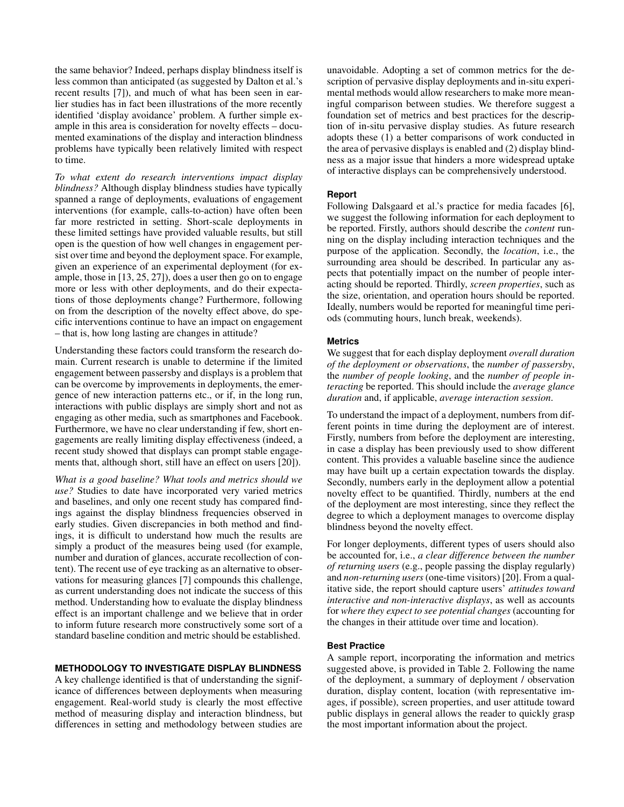the same behavior? Indeed, perhaps display blindness itself is less common than anticipated (as suggested by Dalton et al.'s recent results [\[7\]](#page-6-22)), and much of what has been seen in earlier studies has in fact been illustrations of the more recently identified 'display avoidance' problem. A further simple example in this area is consideration for novelty effects – documented examinations of the display and interaction blindness problems have typically been relatively limited with respect to time.

*To what extent do research interventions impact display blindness?* Although display blindness studies have typically spanned a range of deployments, evaluations of engagement interventions (for example, calls-to-action) have often been far more restricted in setting. Short-scale deployments in these limited settings have provided valuable results, but still open is the question of how well changes in engagement persist over time and beyond the deployment space. For example, given an experience of an experimental deployment (for example, those in [\[13,](#page-6-18) [25,](#page-6-21) [27\]](#page-6-6)), does a user then go on to engage more or less with other deployments, and do their expectations of those deployments change? Furthermore, following on from the description of the novelty effect above, do specific interventions continue to have an impact on engagement – that is, how long lasting are changes in attitude?

Understanding these factors could transform the research domain. Current research is unable to determine if the limited engagement between passersby and displays is a problem that can be overcome by improvements in deployments, the emergence of new interaction patterns etc., or if, in the long run, interactions with public displays are simply short and not as engaging as other media, such as smartphones and Facebook. Furthermore, we have no clear understanding if few, short engagements are really limiting display effectiveness (indeed, a recent study showed that displays can prompt stable engagements that, although short, still have an effect on users [\[20\]](#page-6-24)).

*What is a good baseline? What tools and metrics should we use?* Studies to date have incorporated very varied metrics and baselines, and only one recent study has compared findings against the display blindness frequencies observed in early studies. Given discrepancies in both method and findings, it is difficult to understand how much the results are simply a product of the measures being used (for example, number and duration of glances, accurate recollection of content). The recent use of eye tracking as an alternative to observations for measuring glances [\[7\]](#page-6-22) compounds this challenge, as current understanding does not indicate the success of this method. Understanding how to evaluate the display blindness effect is an important challenge and we believe that in order to inform future research more constructively some sort of a standard baseline condition and metric should be established.

#### **METHODOLOGY TO INVESTIGATE DISPLAY BLINDNESS**

A key challenge identified is that of understanding the significance of differences between deployments when measuring engagement. Real-world study is clearly the most effective method of measuring display and interaction blindness, but differences in setting and methodology between studies are

unavoidable. Adopting a set of common metrics for the description of pervasive display deployments and in-situ experimental methods would allow researchers to make more meaningful comparison between studies. We therefore suggest a foundation set of metrics and best practices for the description of in-situ pervasive display studies. As future research adopts these (1) a better comparisons of work conducted in the area of pervasive displays is enabled and (2) display blindness as a major issue that hinders a more widespread uptake of interactive displays can be comprehensively understood.

#### **Report**

Following Dalsgaard et al.'s practice for media facades [\[6\]](#page-6-25), we suggest the following information for each deployment to be reported. Firstly, authors should describe the *content* running on the display including interaction techniques and the purpose of the application. Secondly, the *location*, i.e., the surrounding area should be described. In particular any aspects that potentially impact on the number of people interacting should be reported. Thirdly, *screen properties*, such as the size, orientation, and operation hours should be reported. Ideally, numbers would be reported for meaningful time periods (commuting hours, lunch break, weekends).

#### **Metrics**

We suggest that for each display deployment *overall duration of the deployment or observations*, the *number of passersby*, the *number of people looking*, and the *number of people interacting* be reported. This should include the *average glance duration* and, if applicable, *average interaction session*.

To understand the impact of a deployment, numbers from different points in time during the deployment are of interest. Firstly, numbers from before the deployment are interesting, in case a display has been previously used to show different content. This provides a valuable baseline since the audience may have built up a certain expectation towards the display. Secondly, numbers early in the deployment allow a potential novelty effect to be quantified. Thirdly, numbers at the end of the deployment are most interesting, since they reflect the degree to which a deployment manages to overcome display blindness beyond the novelty effect.

For longer deployments, different types of users should also be accounted for, i.e., *a clear difference between the number of returning users* (e.g., people passing the display regularly) and *non-returning users*(one-time visitors) [\[20\]](#page-6-24). From a qualitative side, the report should capture users' *attitudes toward interactive and non-interactive displays*, as well as accounts for *where they expect to see potential changes* (accounting for the changes in their attitude over time and location).

#### **Best Practice**

A sample report, incorporating the information and metrics suggested above, is provided in Table [2.](#page-5-3) Following the name of the deployment, a summary of deployment / observation duration, display content, location (with representative images, if possible), screen properties, and user attitude toward public displays in general allows the reader to quickly grasp the most important information about the project.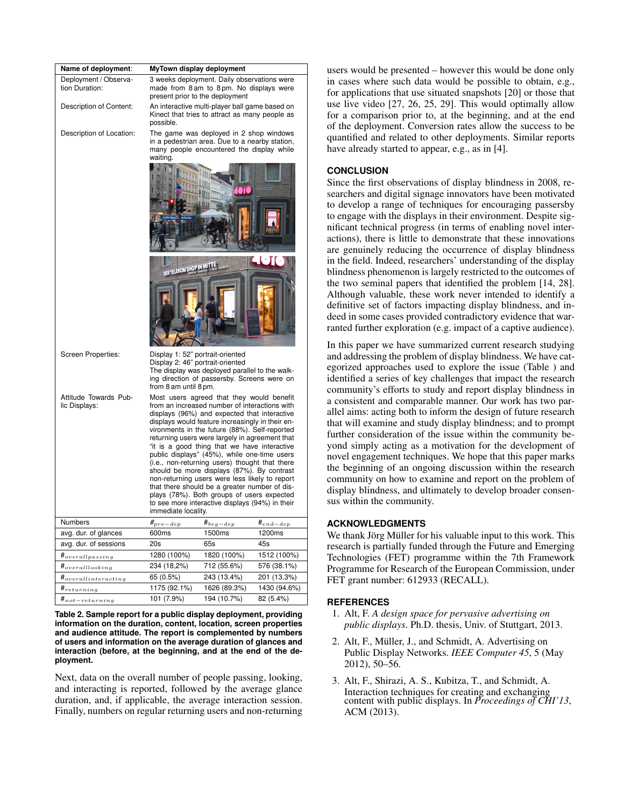| Name of deployment:                     | MyTown display deployment                                                                                                                                                                                                                                                                                                                                                                                                                                                                                                                                                                                                                                                                                                    |                                                                                                                                        |               |  |
|-----------------------------------------|------------------------------------------------------------------------------------------------------------------------------------------------------------------------------------------------------------------------------------------------------------------------------------------------------------------------------------------------------------------------------------------------------------------------------------------------------------------------------------------------------------------------------------------------------------------------------------------------------------------------------------------------------------------------------------------------------------------------------|----------------------------------------------------------------------------------------------------------------------------------------|---------------|--|
| Deployment / Observa-<br>tion Duration: | 3 weeks deployment. Daily observations were<br>made from 8 am to 8 pm. No displays were<br>present prior to the deployment                                                                                                                                                                                                                                                                                                                                                                                                                                                                                                                                                                                                   |                                                                                                                                        |               |  |
| Description of Content:                 | possible.                                                                                                                                                                                                                                                                                                                                                                                                                                                                                                                                                                                                                                                                                                                    | An interactive multi-player ball game based on<br>Kinect that tries to attract as many people as                                       |               |  |
| Description of Location:                | waiting.                                                                                                                                                                                                                                                                                                                                                                                                                                                                                                                                                                                                                                                                                                                     | The game was deployed in 2 shop windows<br>in a pedestrian area. Due to a nearby station,<br>many people encountered the display while |               |  |
|                                         |                                                                                                                                                                                                                                                                                                                                                                                                                                                                                                                                                                                                                                                                                                                              |                                                                                                                                        |               |  |
|                                         | DER TELEKOM SHOP IN MITTE                                                                                                                                                                                                                                                                                                                                                                                                                                                                                                                                                                                                                                                                                                    |                                                                                                                                        |               |  |
|                                         |                                                                                                                                                                                                                                                                                                                                                                                                                                                                                                                                                                                                                                                                                                                              |                                                                                                                                        |               |  |
| Screen Properties:                      | Display 1: 52" portrait-oriented<br>Display 2: 46" portrait-oriented<br>The display was deployed parallel to the walk-<br>ing direction of passersby. Screens were on<br>from 8 am until 8 pm.                                                                                                                                                                                                                                                                                                                                                                                                                                                                                                                               |                                                                                                                                        |               |  |
| Attitude Towards Pub-<br>lic Displays:  | Most users agreed that they would benefit<br>from an increased number of interactions with<br>displays (96%) and expected that interactive<br>displays would feature increasingly in their en-<br>vironments in the future (88%). Self-reported<br>returning users were largely in agreement that<br>"it is a good thing that we have interactive<br>public displays" (45%), while one-time users<br>(i.e., non-returning users) thought that there<br>should be more displays (87%). By contrast<br>non-returning users were less likely to report<br>that there should be a greater number of dis-<br>plays (78%). Both groups of users expected<br>to see more interactive displays (94%) in their<br>immediate locality. |                                                                                                                                        |               |  |
| Numbers                                 | $\#_{pre-dep}$                                                                                                                                                                                                                                                                                                                                                                                                                                                                                                                                                                                                                                                                                                               | $\#_{beg-dep}$                                                                                                                         | $#_{end-dep}$ |  |
| avg. dur. of glances                    | 600ms                                                                                                                                                                                                                                                                                                                                                                                                                                                                                                                                                                                                                                                                                                                        | 1500ms                                                                                                                                 | 1200ms        |  |
| avg. dur. of sessions                   | 20s                                                                                                                                                                                                                                                                                                                                                                                                                                                                                                                                                                                                                                                                                                                          | 65s                                                                                                                                    | 45s           |  |
| $\boldsymbol{\#}_{overallyassign}$      | 1280 (100%)                                                                                                                                                                                                                                                                                                                                                                                                                                                                                                                                                                                                                                                                                                                  | 1820 (100%)                                                                                                                            | 1512 (100%)   |  |
| $#_{overalllooking}$                    | 234 (18,2%)                                                                                                                                                                                                                                                                                                                                                                                                                                                                                                                                                                                                                                                                                                                  | 712 (55.6%)                                                                                                                            | 576 (38.1%)   |  |
| $\#_{overallinteracting}$               | 65 (0.5%)                                                                                                                                                                                                                                                                                                                                                                                                                                                                                                                                                                                                                                                                                                                    | 243 (13.4%)                                                                                                                            | 201 (13.3%)   |  |
| $\boldsymbol{\textit{H}}_{returning}$   | 1175 (92.1%)                                                                                                                                                                                                                                                                                                                                                                                                                                                                                                                                                                                                                                                                                                                 | 1626 (89.3%)                                                                                                                           | 1430 (94.6%)  |  |
| $\boldsymbol{\#}_{not-returning}$       | 101 (7.9%)                                                                                                                                                                                                                                                                                                                                                                                                                                                                                                                                                                                                                                                                                                                   | 194 (10.7%)                                                                                                                            | 82 (5.4%)     |  |

<span id="page-5-3"></span>**Table 2. Sample report for a public display deployment, providing information on the duration, content, location, screen properties and audience attitude. The report is complemented by numbers of users and information on the average duration of glances and interaction (before, at the beginning, and at the end of the deployment.**

Next, data on the overall number of people passing, looking, and interacting is reported, followed by the average glance duration, and, if applicable, the average interaction session. Finally, numbers on regular returning users and non-returning users would be presented – however this would be done only in cases where such data would be possible to obtain, e.g., for applications that use situated snapshots [\[20\]](#page-6-24) or those that use live video [\[27,](#page-6-6) [26,](#page-6-5) [25,](#page-6-21) [29\]](#page-6-9). This would optimally allow for a comparison prior to, at the beginning, and at the end of the deployment. Conversion rates allow the success to be quantified and related to other deployments. Similar reports have already started to appear, e.g., as in [\[4\]](#page-6-26).

### **CONCLUSION**

Since the first observations of display blindness in 2008, researchers and digital signage innovators have been motivated to develop a range of techniques for encouraging passersby to engage with the displays in their environment. Despite significant technical progress (in terms of enabling novel interactions), there is little to demonstrate that these innovations are genuinely reducing the occurrence of display blindness in the field. Indeed, researchers' understanding of the display blindness phenomenon is largely restricted to the outcomes of the two seminal papers that identified the problem [\[14,](#page-6-14) [28\]](#page-6-13). Although valuable, these work never intended to identify a definitive set of factors impacting display blindness, and indeed in some cases provided contradictory evidence that warranted further exploration (e.g. impact of a captive audience).

In this paper we have summarized current research studying and addressing the problem of display blindness. We have categorized approaches used to explore the issue (Table ) and identified a series of key challenges that impact the research community's efforts to study and report display blindness in a consistent and comparable manner. Our work has two parallel aims: acting both to inform the design of future research that will examine and study display blindness; and to prompt further consideration of the issue within the community beyond simply acting as a motivation for the development of novel engagement techniques. We hope that this paper marks the beginning of an ongoing discussion within the research community on how to examine and report on the problem of display blindness, and ultimately to develop broader consensus within the community.

#### **ACKNOWLEDGMENTS**

We thank Jörg Müller for his valuable input to this work. This research is partially funded through the Future and Emerging Technologies (FET) programme within the 7th Framework Programme for Research of the European Commission, under FET grant number: 612933 (RECALL).

#### <span id="page-5-2"></span>**REFERENCES**

- 1. Alt, F. *A design space for pervasive advertising on public displays*. Ph.D. thesis, Univ. of Stuttgart, 2013.
- <span id="page-5-0"></span>2. Alt, F., Müller, J., and Schmidt, A. Advertising on Public Display Networks. *IEEE Computer 45*, 5 (May 2012), 50–56.
- <span id="page-5-1"></span>3. Alt, F., Shirazi, A. S., Kubitza, T., and Schmidt, A. Interaction techniques for creating and exchanging content with public displays. In *Proceedings of CHI'13*, ACM (2013).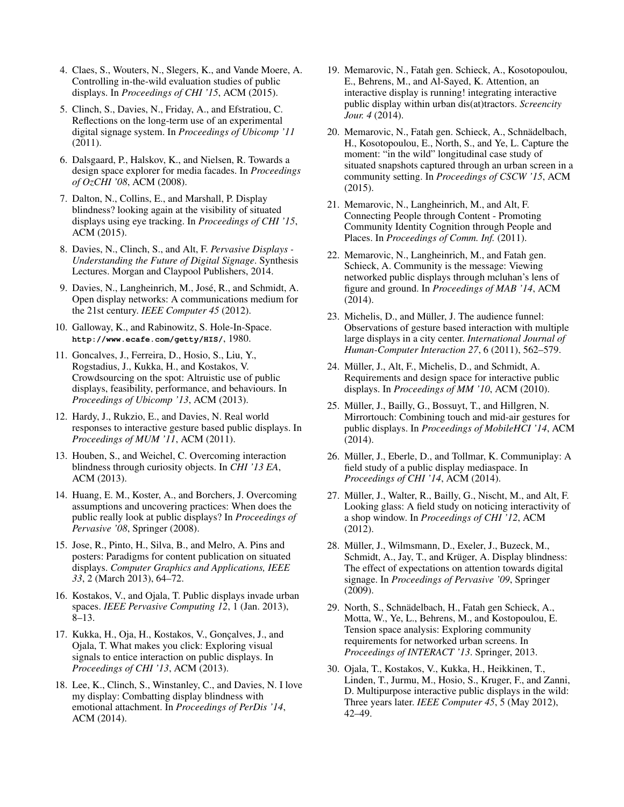- <span id="page-6-26"></span>4. Claes, S., Wouters, N., Slegers, K., and Vande Moere, A. Controlling in-the-wild evaluation studies of public displays. In *Proceedings of CHI '15*, ACM (2015).
- <span id="page-6-7"></span>5. Clinch, S., Davies, N., Friday, A., and Efstratiou, C. Reflections on the long-term use of an experimental digital signage system. In *Proceedings of Ubicomp '11* (2011).
- <span id="page-6-25"></span>6. Dalsgaard, P., Halskov, K., and Nielsen, R. Towards a design space explorer for media facades. In *Proceedings of OzCHI '08*, ACM (2008).
- <span id="page-6-22"></span>7. Dalton, N., Collins, E., and Marshall, P. Display blindness? looking again at the visibility of situated displays using eye tracking. In *Proceedings of CHI '15*, ACM (2015).
- <span id="page-6-11"></span>8. Davies, N., Clinch, S., and Alt, F. *Pervasive Displays - Understanding the Future of Digital Signage*. Synthesis Lectures. Morgan and Claypool Publishers, 2014.
- <span id="page-6-2"></span>9. Davies, N., Langheinrich, M., José, R., and Schmidt, A. Open display networks: A communications medium for the 21st century. *IEEE Computer 45* (2012).
- <span id="page-6-0"></span>10. Galloway, K., and Rabinowitz, S. Hole-In-Space. **<http://www.ecafe.com/getty/HIS/>**, 1980.
- <span id="page-6-15"></span>11. Goncalves, J., Ferreira, D., Hosio, S., Liu, Y., Rogstadius, J., Kukka, H., and Kostakos, V. Crowdsourcing on the spot: Altruistic use of public displays, feasibility, performance, and behaviours. In *Proceedings of Ubicomp '13*, ACM (2013).
- <span id="page-6-16"></span>12. Hardy, J., Rukzio, E., and Davies, N. Real world responses to interactive gesture based public displays. In *Proceedings of MUM '11*, ACM (2011).
- <span id="page-6-18"></span>13. Houben, S., and Weichel, C. Overcoming interaction blindness through curiosity objects. In *CHI '13 EA*, ACM (2013).
- <span id="page-6-14"></span>14. Huang, E. M., Koster, A., and Borchers, J. Overcoming assumptions and uncovering practices: When does the public really look at public displays? In *Proceedings of Pervasive '08*, Springer (2008).
- <span id="page-6-8"></span>15. Jose, R., Pinto, H., Silva, B., and Melro, A. Pins and posters: Paradigms for content publication on situated displays. *Computer Graphics and Applications, IEEE 33*, 2 (March 2013), 64–72.
- <span id="page-6-1"></span>16. Kostakos, V., and Ojala, T. Public displays invade urban spaces. *IEEE Pervasive Computing 12*, 1 (Jan. 2013), 8–13.
- <span id="page-6-17"></span>17. Kukka, H., Oja, H., Kostakos, V., Gonçalves, J., and Ojala, T. What makes you click: Exploring visual signals to entice interaction on public displays. In *Proceedings of CHI '13*, ACM (2013).
- <span id="page-6-19"></span>18. Lee, K., Clinch, S., Winstanley, C., and Davies, N. I love my display: Combatting display blindness with emotional attachment. In *Proceedings of PerDis '14*, ACM (2014).
- <span id="page-6-20"></span>19. Memarovic, N., Fatah gen. Schieck, A., Kosotopoulou, E., Behrens, M., and Al-Sayed, K. Attention, an interactive display is running! integrating interactive public display within urban dis(at)tractors. *Screencity Jour. 4* (2014).
- <span id="page-6-24"></span>20. Memarovic, N., Fatah gen. Schieck, A., Schnadelbach, ¨ H., Kosotopoulou, E., North, S., and Ye, L. Capture the moment: "in the wild" longitudinal case study of situated snapshots captured through an urban screen in a community setting. In *Proceedings of CSCW '15*, ACM (2015).
- <span id="page-6-3"></span>21. Memarovic, N., Langheinrich, M., and Alt, F. Connecting People through Content - Promoting Community Identity Cognition through People and Places. In *Proceedings of Comm. Inf.* (2011).
- <span id="page-6-4"></span>22. Memarovic, N., Langheinrich, M., and Fatah gen. Schieck, A. Community is the message: Viewing networked public displays through mcluhan's lens of figure and ground. In *Proceedings of MAB '14*, ACM (2014).
- <span id="page-6-23"></span>23. Michelis, D., and Müller, J. The audience funnel: Observations of gesture based interaction with multiple large displays in a city center. *International Journal of Human-Computer Interaction 27*, 6 (2011), 562–579.
- <span id="page-6-12"></span>24. Müller, J., Alt, F., Michelis, D., and Schmidt, A. Requirements and design space for interactive public displays. In *Proceedings of MM '10*, ACM (2010).
- <span id="page-6-21"></span>25. Müller, J., Bailly, G., Bossuyt, T., and Hillgren, N. Mirrortouch: Combining touch and mid-air gestures for public displays. In *Proceedings of MobileHCI '14*, ACM (2014).
- <span id="page-6-5"></span>26. Müller, J., Eberle, D., and Tollmar, K. Communiplay: A field study of a public display mediaspace. In *Proceedings of CHI '14*, ACM (2014).
- <span id="page-6-6"></span>27. Müller, J., Walter, R., Bailly, G., Nischt, M., and Alt, F. Looking glass: A field study on noticing interactivity of a shop window. In *Proceedings of CHI '12*, ACM (2012).
- <span id="page-6-13"></span>28. Müller, J., Wilmsmann, D., Exeler, J., Buzeck, M., Schmidt, A., Jay, T., and Krüger, A. Display blindness: The effect of expectations on attention towards digital signage. In *Proceedings of Pervasive '09*, Springer (2009).
- <span id="page-6-9"></span>29. North, S., Schnadelbach, H., Fatah gen Schieck, A., ¨ Motta, W., Ye, L., Behrens, M., and Kostopoulou, E. Tension space analysis: Exploring community requirements for networked urban screens. In *Proceedings of INTERACT '13*. Springer, 2013.
- <span id="page-6-10"></span>30. Ojala, T., Kostakos, V., Kukka, H., Heikkinen, T., Linden, T., Jurmu, M., Hosio, S., Kruger, F., and Zanni, D. Multipurpose interactive public displays in the wild: Three years later. *IEEE Computer 45*, 5 (May 2012), 42–49.